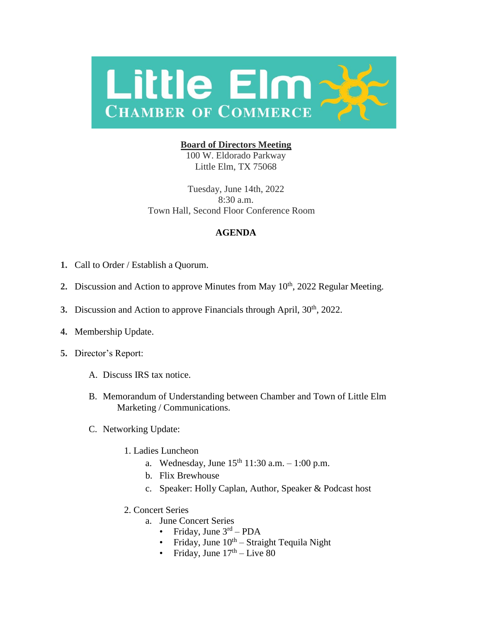

## **Board of Directors Meeting**

100 W. Eldorado Parkway Little Elm, TX 75068

Tuesday, June 14th, 2022 8:30 a.m. Town Hall, Second Floor Conference Room

## **AGENDA**

- **1.** Call to Order / Establish a Quorum.
- 2. Discussion and Action to approve Minutes from May 10<sup>th</sup>, 2022 Regular Meeting.
- **3.** Discussion and Action to approve Financials through April, 30<sup>th</sup>, 2022.
- **4.** Membership Update.
- **5.** Director's Report:
	- A. Discuss IRS tax notice.
	- B. Memorandum of Understanding between Chamber and Town of Little Elm Marketing / Communications.
	- C. Networking Update:
		- 1. Ladies Luncheon
			- a. Wednesday, June  $15^{th}$  11:30 a.m.  $1:00$  p.m.
			- b. Flix Brewhouse
			- c. Speaker: Holly Caplan, Author, Speaker & Podcast host
		- 2. Concert Series
			- a. June Concert Series
				- Friday, June  $3^{\text{rd}}$  PDA
				- Friday, June  $10^{th}$  Straight Tequila Night
				- Friday, June  $17<sup>th</sup>$  Live 80